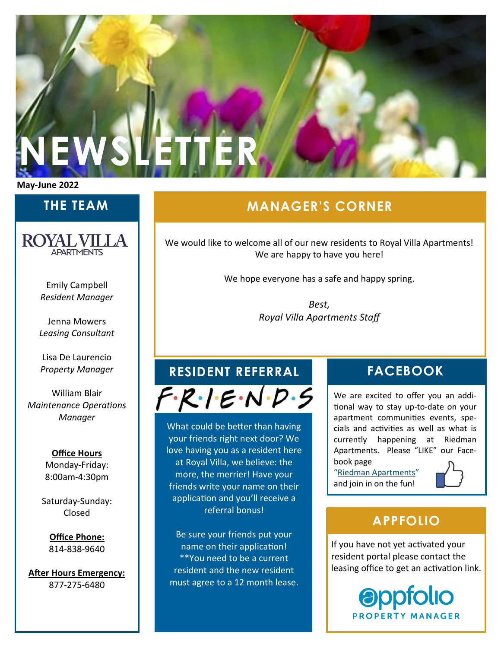

**May-June 2022**

## **THE TEAM**

**ROYAL VILLA APARTMENTS** 

> Emily Campbell *Resident Manager*

Jenna Mowers *Leasing Consultant*

Lisa De Laurencio *Property Manager*

William Blair *Maintenance Operations Manager*

> **Office Hours** Monday-Friday: 8:00am-4:30pm

Saturday-Sunday: Closed

**Office Phone:** 814-838-9640

**After Hours Emergency:** 877-275-6480

# **MANAGER'S CORNER**

We would like to welcome all of our new residents to Royal Villa Apartments! We are happy to have you here!

We hope everyone has a safe and happy spring.

*Best, Royal Villa Apartments Staff*

# **RESIDENT REFERRAL FACEBOOK**

 $F \cdot R \cdot 1 = N \cdot D \cdot 5$ 

What could be better than having your friends right next door? We love having you as a resident here at Royal Villa, we believe: the more, the merrier! Have your friends write your name on their application and you'll receive a referral bonus!

Be sure your friends put your name on their application! \*\*You need to be a current resident and the new resident must agree to a 12 month lease.

We are excited to offer you an additional way to stay up-to-date on your apartment communities events, specials and activities as well as what is currently happening at Riedman Apartments. Please "LIKE" our Facebook page

"[Riedman Apartments](https://www.facebook.com/RiedmanApartmentLiving)" and join in on the fun!



### **APPFOLIO**

If you have not yet activated your resident portal please contact the leasing office to get an activation link.

> **appfolio PROPERTY MANAGER**